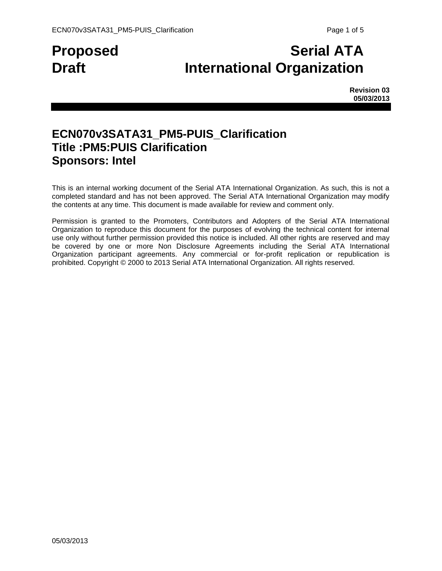# **Proposed Serial ATA Draft International Organization**

**Revision 03 05/03/2013**

## **ECN070v3SATA31\_PM5-PUIS\_Clarification Title :PM5:PUIS Clarification Sponsors: Intel**

This is an internal working document of the Serial ATA International Organization. As such, this is not a completed standard and has not been approved. The Serial ATA International Organization may modify the contents at any time. This document is made available for review and comment only.

Permission is granted to the Promoters, Contributors and Adopters of the Serial ATA International Organization to reproduce this document for the purposes of evolving the technical content for internal use only without further permission provided this notice is included. All other rights are reserved and may be covered by one or more Non Disclosure Agreements including the Serial ATA International Organization participant agreements. Any commercial or for-profit replication or republication is prohibited. Copyright © 2000 to 2013 Serial ATA International Organization. All rights reserved.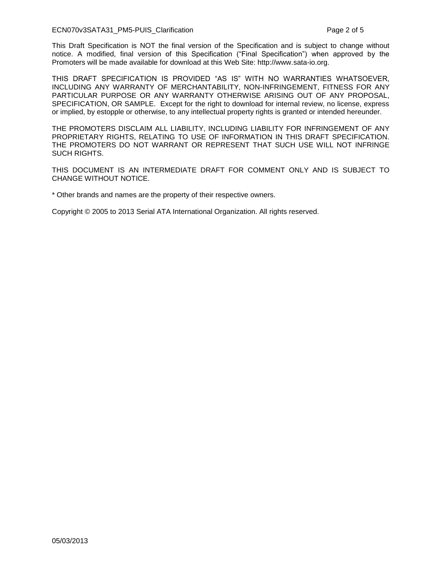#### ECN070v3SATA31\_PM5-PUIS\_Clarification Page 2 of 5

This Draft Specification is NOT the final version of the Specification and is subject to change without notice. A modified, final version of this Specification ("Final Specification") when approved by the Promoters will be made available for download at this Web Site: http://www.sata-io.org.

THIS DRAFT SPECIFICATION IS PROVIDED "AS IS" WITH NO WARRANTIES WHATSOEVER, INCLUDING ANY WARRANTY OF MERCHANTABILITY, NON-INFRINGEMENT, FITNESS FOR ANY PARTICULAR PURPOSE OR ANY WARRANTY OTHERWISE ARISING OUT OF ANY PROPOSAL, SPECIFICATION, OR SAMPLE. Except for the right to download for internal review, no license, express or implied, by estopple or otherwise, to any intellectual property rights is granted or intended hereunder.

THE PROMOTERS DISCLAIM ALL LIABILITY, INCLUDING LIABILITY FOR INFRINGEMENT OF ANY PROPRIETARY RIGHTS, RELATING TO USE OF INFORMATION IN THIS DRAFT SPECIFICATION. THE PROMOTERS DO NOT WARRANT OR REPRESENT THAT SUCH USE WILL NOT INFRINGE SUCH RIGHTS.

THIS DOCUMENT IS AN INTERMEDIATE DRAFT FOR COMMENT ONLY AND IS SUBJECT TO CHANGE WITHOUT NOTICE.

\* Other brands and names are the property of their respective owners.

Copyright © 2005 to 2013 Serial ATA International Organization. All rights reserved.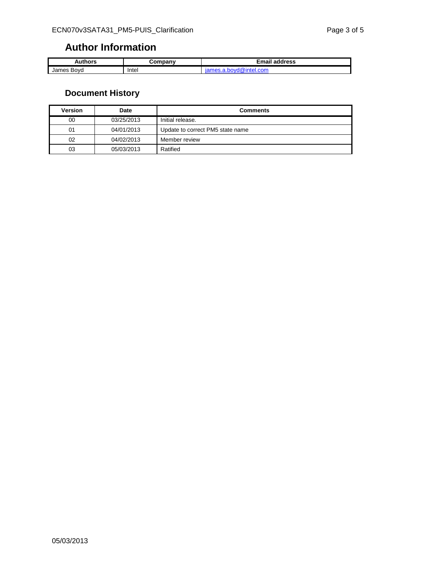#### **Author Information**

| Authors       | ∶ompanv | ™mail<br>address |
|---------------|---------|------------------|
| Bovd<br>James | Intel   | u.con.<br>чег    |

### **Document History**

| Version | Date       | <b>Comments</b>                  |
|---------|------------|----------------------------------|
| 00      | 03/25/2013 | Initial release.                 |
| 01      | 04/01/2013 | Update to correct PM5 state name |
| 02      | 04/02/2013 | Member review                    |
| 03      | 05/03/2013 | Ratified                         |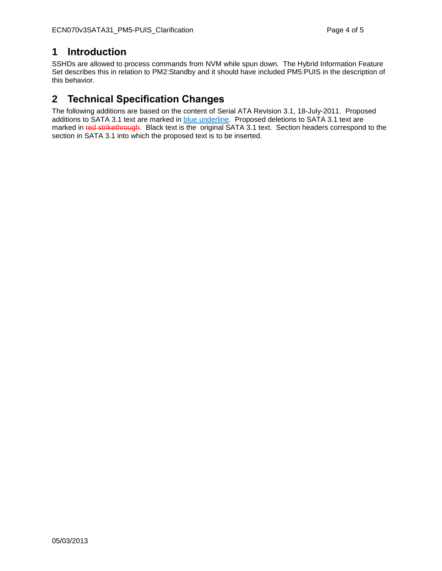#### **1 Introduction**

SSHDs are allowed to process commands from NVM while spun down. The Hybrid Information Feature Set describes this in relation to PM2:Standby and it should have included PM5:PUIS in the description of this behavior.

#### **2 Technical Specification Changes**

The following additions are based on the content of Serial ATA Revision 3.1, 18-July-2011. Proposed additions to SATA 3.1 text are marked in blue underline. Proposed deletions to SATA 3.1 text are marked in red strikethrough. Black text is the original SATA 3.1 text. Section headers correspond to the section in SATA 3.1 into which the proposed text is to be inserted.